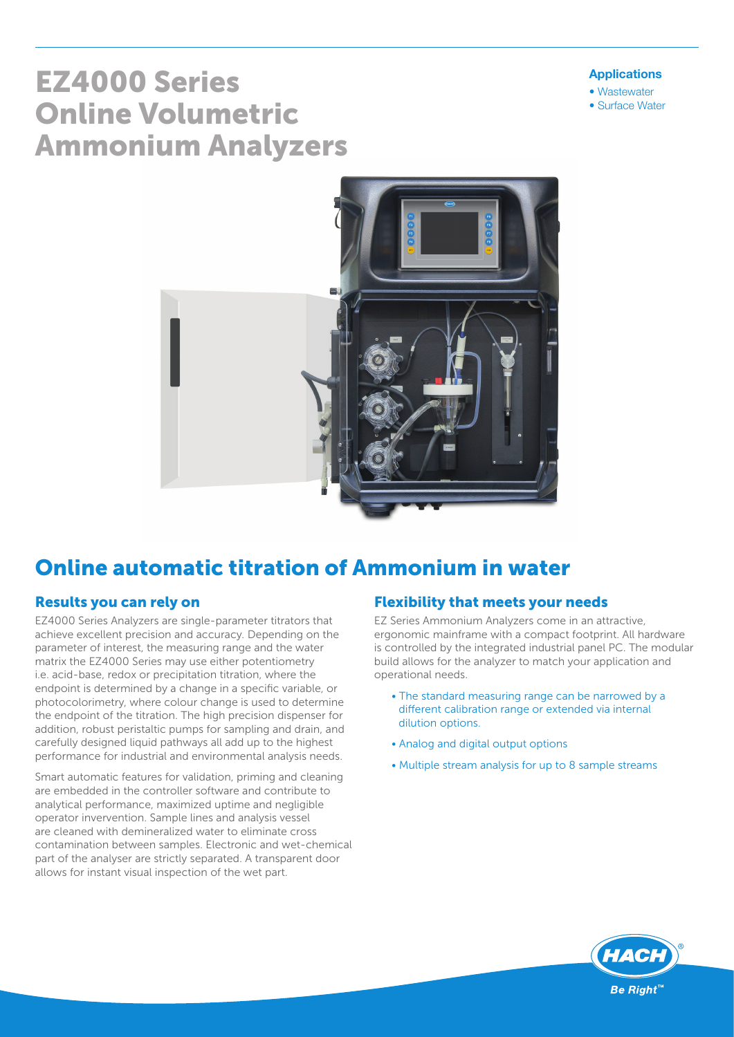#### Applications

- Wastewater
- Surface Water

# EZ4000 Series Online Volumetric Ammonium Analyzers



# Online automatic titration of Ammonium in water

### Results you can rely on

EZ4000 Series Analyzers are single-parameter titrators that achieve excellent precision and accuracy. Depending on the parameter of interest, the measuring range and the water matrix the EZ4000 Series may use either potentiometry i.e. acid-base, redox or precipitation titration, where the endpoint is determined by a change in a specific variable, or photocolorimetry, where colour change is used to determine the endpoint of the titration. The high precision dispenser for addition, robust peristaltic pumps for sampling and drain, and carefully designed liquid pathways all add up to the highest performance for industrial and environmental analysis needs.

Smart automatic features for validation, priming and cleaning are embedded in the controller software and contribute to analytical performance, maximized uptime and negligible operator invervention. Sample lines and analysis vessel are cleaned with demineralized water to eliminate cross contamination between samples. Electronic and wet-chemical part of the analyser are strictly separated. A transparent door allows for instant visual inspection of the wet part.

#### Flexibility that meets your needs

EZ Series Ammonium Analyzers come in an attractive, ergonomic mainframe with a compact footprint. All hardware is controlled by the integrated industrial panel PC. The modular build allows for the analyzer to match your application and operational needs.

- The standard measuring range can be narrowed by a different calibration range or extended via internal dilution options.
- Analog and digital output options
- Multiple stream analysis for up to 8 sample streams

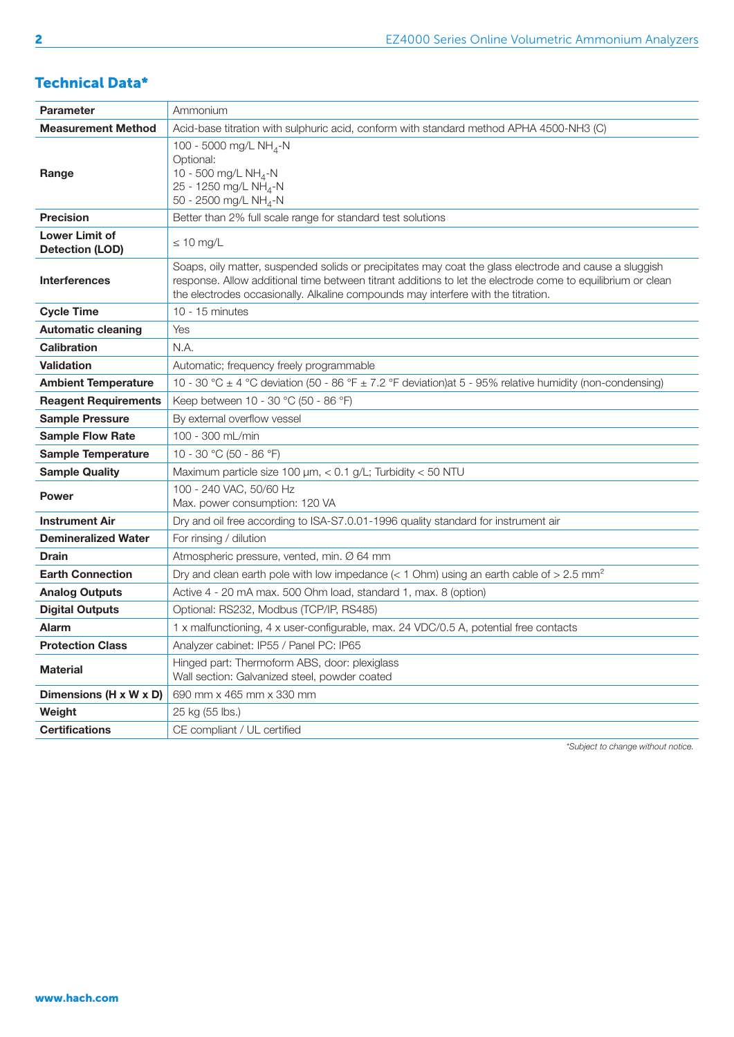# Technical Data\*

| <b>Parameter</b>                                | Ammonium                                                                                                                                                                                                                                                                                                   |
|-------------------------------------------------|------------------------------------------------------------------------------------------------------------------------------------------------------------------------------------------------------------------------------------------------------------------------------------------------------------|
| <b>Measurement Method</b>                       | Acid-base titration with sulphuric acid, conform with standard method APHA 4500-NH3 (C)                                                                                                                                                                                                                    |
| Range                                           | 100 - 5000 mg/L NH <sub>4</sub> -N<br>Optional:<br>10 - 500 mg/L NH <sub>4</sub> -N<br>25 - 1250 mg/L NH <sub>4</sub> -N<br>50 - 2500 mg/L NH <sub>4</sub> -N                                                                                                                                              |
| <b>Precision</b>                                | Better than 2% full scale range for standard test solutions                                                                                                                                                                                                                                                |
| <b>Lower Limit of</b><br><b>Detection (LOD)</b> | $\leq 10$ mg/L                                                                                                                                                                                                                                                                                             |
| <b>Interferences</b>                            | Soaps, oily matter, suspended solids or precipitates may coat the glass electrode and cause a sluggish<br>response. Allow additional time between titrant additions to let the electrode come to equilibrium or clean<br>the electrodes occasionally. Alkaline compounds may interfere with the titration. |
| <b>Cycle Time</b>                               | 10 - 15 minutes                                                                                                                                                                                                                                                                                            |
| <b>Automatic cleaning</b>                       | Yes                                                                                                                                                                                                                                                                                                        |
| <b>Calibration</b>                              | N.A.                                                                                                                                                                                                                                                                                                       |
| <b>Validation</b>                               | Automatic; frequency freely programmable                                                                                                                                                                                                                                                                   |
| <b>Ambient Temperature</b>                      | 10 - 30 °C ± 4 °C deviation (50 - 86 °F ± 7.2 °F deviation)at 5 - 95% relative humidity (non-condensing)                                                                                                                                                                                                   |
| <b>Reagent Requirements</b>                     | Keep between 10 - 30 °C (50 - 86 °F)                                                                                                                                                                                                                                                                       |
| <b>Sample Pressure</b>                          | By external overflow vessel                                                                                                                                                                                                                                                                                |
| <b>Sample Flow Rate</b>                         | 100 - 300 mL/min                                                                                                                                                                                                                                                                                           |
| <b>Sample Temperature</b>                       | 10 - 30 °C (50 - 86 °F)                                                                                                                                                                                                                                                                                    |
| <b>Sample Quality</b>                           | Maximum particle size 100 µm, < 0.1 g/L; Turbidity < 50 NTU                                                                                                                                                                                                                                                |
| <b>Power</b>                                    | 100 - 240 VAC, 50/60 Hz<br>Max. power consumption: 120 VA                                                                                                                                                                                                                                                  |
| <b>Instrument Air</b>                           | Dry and oil free according to ISA-S7.0.01-1996 quality standard for instrument air                                                                                                                                                                                                                         |
| <b>Demineralized Water</b>                      | For rinsing / dilution                                                                                                                                                                                                                                                                                     |
| <b>Drain</b>                                    | Atmospheric pressure, vented, min. Ø 64 mm                                                                                                                                                                                                                                                                 |
| <b>Earth Connection</b>                         | Dry and clean earth pole with low impedance (< 1 Ohm) using an earth cable of > 2.5 mm <sup>2</sup>                                                                                                                                                                                                        |
| <b>Analog Outputs</b>                           | Active 4 - 20 mA max. 500 Ohm load, standard 1, max. 8 (option)                                                                                                                                                                                                                                            |
| <b>Digital Outputs</b>                          | Optional: RS232, Modbus (TCP/IP, RS485)                                                                                                                                                                                                                                                                    |
| <b>Alarm</b>                                    | 1 x malfunctioning, 4 x user-configurable, max. 24 VDC/0.5 A, potential free contacts                                                                                                                                                                                                                      |
| <b>Protection Class</b>                         | Analyzer cabinet: IP55 / Panel PC: IP65                                                                                                                                                                                                                                                                    |
| <b>Material</b>                                 | Hinged part: Thermoform ABS, door: plexiglass<br>Wall section: Galvanized steel, powder coated                                                                                                                                                                                                             |
| Dimensions (H x W x D)                          | 690 mm x 465 mm x 330 mm                                                                                                                                                                                                                                                                                   |
| Weight                                          | 25 kg (55 lbs.)                                                                                                                                                                                                                                                                                            |
| <b>Certifications</b>                           | CE compliant / UL certified                                                                                                                                                                                                                                                                                |

*\*Subject to change without notice.*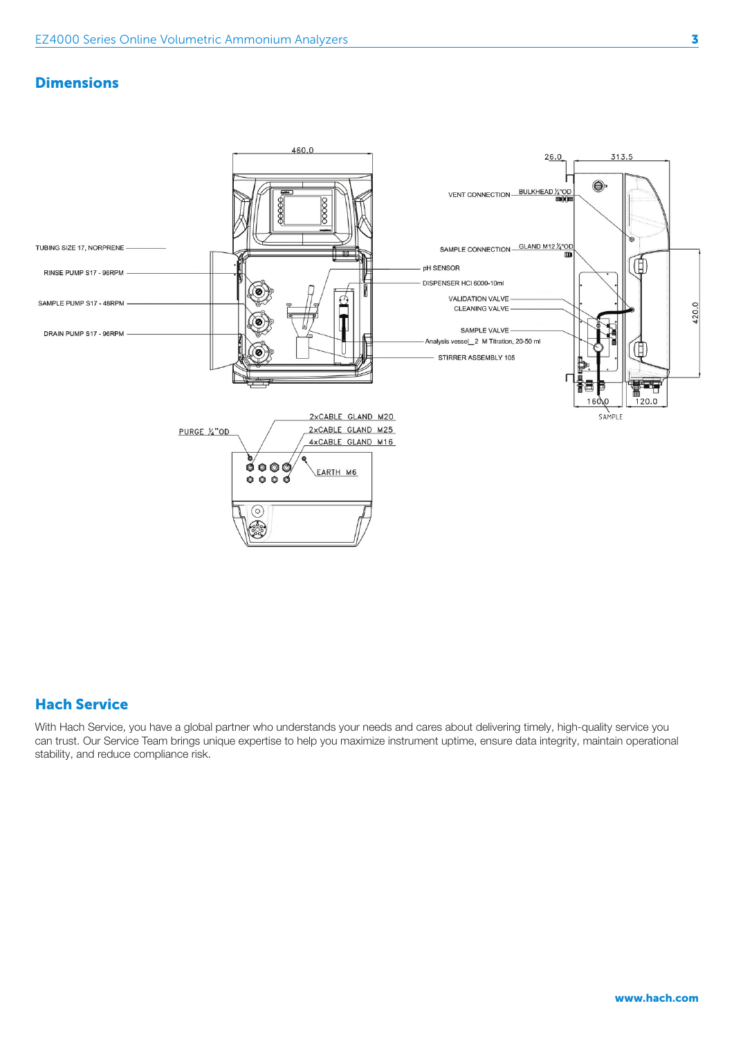#### **Dimensions**



## Hach Service

With Hach Service, you have a global partner who understands your needs and cares about delivering timely, high-quality service you can trust. Our Service Team brings unique expertise to help you maximize instrument uptime, ensure data integrity, maintain operational stability, and reduce compliance risk.